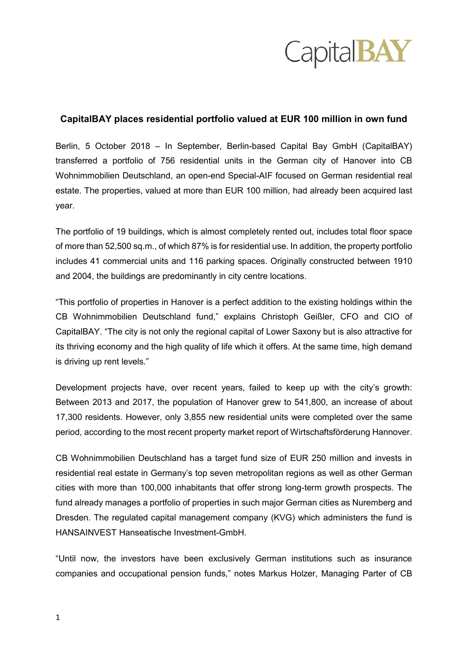

## **CapitalBAY places residential portfolio valued at EUR 100 million in own fund**

Berlin, 5 October 2018 – In September, Berlin-based Capital Bay GmbH (CapitalBAY) transferred a portfolio of 756 residential units in the German city of Hanover into CB Wohnimmobilien Deutschland, an open-end Special-AIF focused on German residential real estate. The properties, valued at more than EUR 100 million, had already been acquired last year.

The portfolio of 19 buildings, which is almost completely rented out, includes total floor space of more than 52,500 sq.m., of which 87% is for residential use. In addition, the property portfolio includes 41 commercial units and 116 parking spaces. Originally constructed between 1910 and 2004, the buildings are predominantly in city centre locations.

"This portfolio of properties in Hanover is a perfect addition to the existing holdings within the CB Wohnimmobilien Deutschland fund," explains Christoph Geißler, CFO and CIO of CapitalBAY. "The city is not only the regional capital of Lower Saxony but is also attractive for its thriving economy and the high quality of life which it offers. At the same time, high demand is driving up rent levels."

Development projects have, over recent years, failed to keep up with the city's growth: Between 2013 and 2017, the population of Hanover grew to 541,800, an increase of about 17,300 residents. However, only 3,855 new residential units were completed over the same period, according to the most recent property market report of Wirtschaftsförderung Hannover.

CB Wohnimmobilien Deutschland has a target fund size of EUR 250 million and invests in residential real estate in Germany's top seven metropolitan regions as well as other German cities with more than 100,000 inhabitants that offer strong long-term growth prospects. The fund already manages a portfolio of properties in such major German cities as Nuremberg and Dresden. The regulated capital management company (KVG) which administers the fund is HANSAINVEST Hanseatische Investment-GmbH.

"Until now, the investors have been exclusively German institutions such as insurance companies and occupational pension funds," notes Markus Holzer, Managing Parter of CB